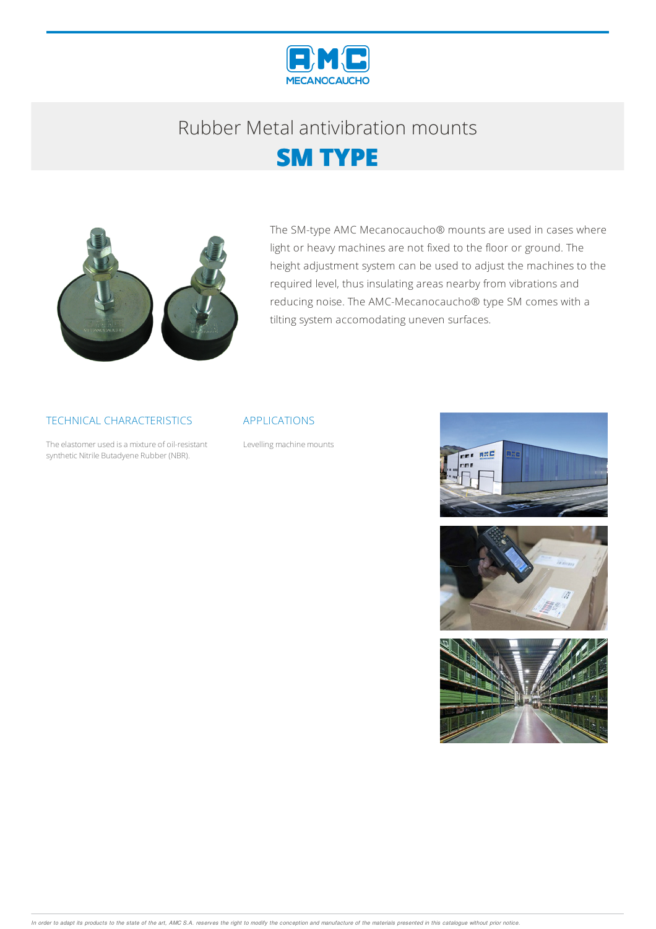

## Rubber Metalantivibration mounts





The SM-type AMC Mecanocaucho® mounts are used in cases where light or heavy machines are not fixed to the floor or ground. The height adjustment system can be used to adjust the machines to the required level, thus insulating areas nearby from vibrations and reducing noise. The AMC-Mecanocaucho® type SM comes with a tilting system accomodating uneven surfaces.

### TECHNICAL CHARACTERISTICS

The elastomer used is a mixture of oil-resistant synthetic Nitrile Butadyene Rubber (NBR).

#### APPLICATIONS

Levelling machine mounts





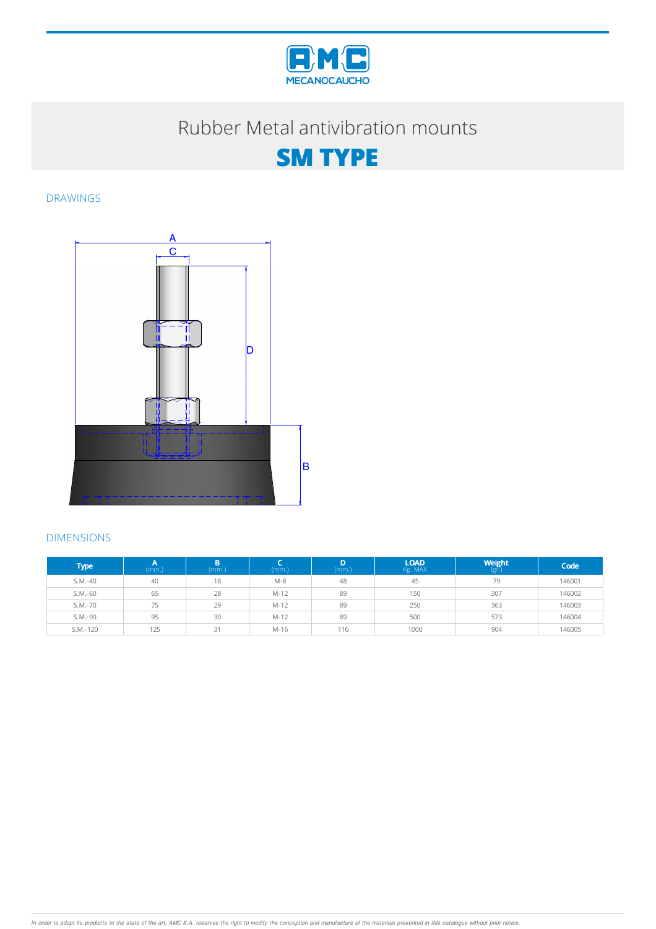

### Rubber Metal antivibration mounts



DRAWINGS



### DIMENSIONS

| Type <sup>1</sup> | (mm) | B.<br>(mm.) | (mm.)  | (mm.) | <b>LOAD</b><br>Kg. MAX | <b>Weight</b> | Code   |
|-------------------|------|-------------|--------|-------|------------------------|---------------|--------|
| $S.M.-40$         | 40   | 18          | $M-8$  | 48    | 45                     | 79            | 146001 |
| $S.M.-60$         | 65   | 28          | $M-12$ | 89    | 150                    | 307           | 146002 |
| S.M.-70           | 75   | 29          | $M-12$ | 89    | 250                    | 363           | 146003 |
| S.M.-90           | 95   | 30          | $M-12$ | 89    | 500                    | 573           | 146004 |
| S.M.-120          | 125  | 31          | $M-16$ | 116   | 1000                   | 904           | 146005 |